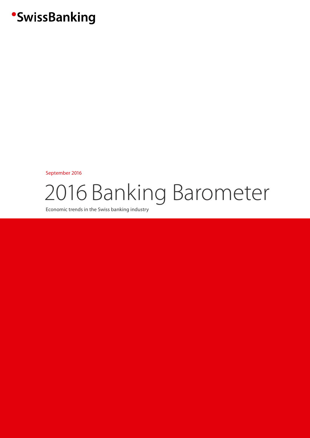## **SwissBanking**

September 2016

# 2016 Banking Barometer

Economic trends in the Swiss banking industry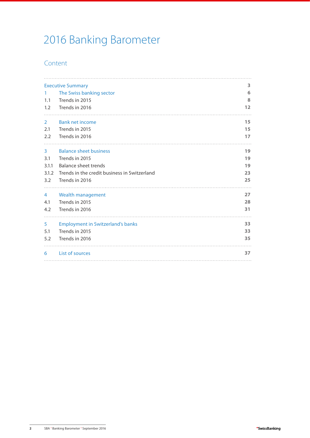## 2016 Banking Barometer

## Content

|             | <b>Executive Summary</b><br>3                |    |  |  |  |  |
|-------------|----------------------------------------------|----|--|--|--|--|
| 1.          | The Swiss banking sector                     | 6  |  |  |  |  |
| 1.1         | Trends in 2015                               | 8  |  |  |  |  |
| 1.2         | Trends in 2016                               | 12 |  |  |  |  |
| $2^{\circ}$ | <b>Bank net income</b>                       | 15 |  |  |  |  |
| 2.1         | Trends in 2015                               | 15 |  |  |  |  |
| 2.2         | Trends in 2016                               | 17 |  |  |  |  |
| 3           | <b>Balance sheet business</b>                | 19 |  |  |  |  |
| 3.1         | Trends in 2015                               | 19 |  |  |  |  |
| 3.1.1       | Balance sheet trends                         | 19 |  |  |  |  |
| 3.1.2       | Trends in the credit business in Switzerland | 23 |  |  |  |  |
| 3.2         | Trends in 2016                               | 25 |  |  |  |  |
| 4           | Wealth management                            | 27 |  |  |  |  |
| 4.1         | Trends in 2015                               | 28 |  |  |  |  |
| 4.2         | Trends in 2016                               | 31 |  |  |  |  |
| 5           | <b>Employment in Switzerland's banks</b>     | 33 |  |  |  |  |
| 5.1         | Trends in 2015                               | 33 |  |  |  |  |
| 5.2         | Trends in 2016                               | 35 |  |  |  |  |
| 6           | <b>List of sources</b>                       | 37 |  |  |  |  |
|             |                                              |    |  |  |  |  |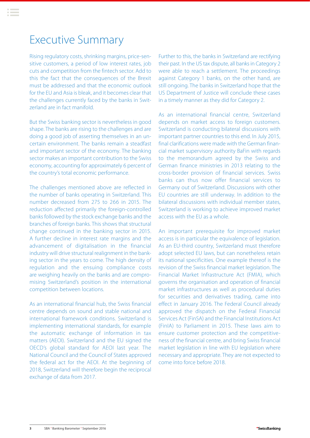## <span id="page-2-0"></span>Executive Summary

Rising regulatory costs, shrinking margins, price-sensitive customers, a period of low interest rates, job cuts and competition from the fintech sector. Add to this the fact that the consequences of the Brexit must be addressed and that the economic outlook for the EU and Asia is bleak, and it becomes clear that the challenges currently faced by the banks in Switzerland are in fact manifold.

But the Swiss banking sector is nevertheless in good shape. The banks are rising to the challenges and are doing a good job of asserting themselves in an uncertain environment. The banks remain a steadfast and important sector of the economy. The banking sector makes an important contribution to the Swiss economy, accounting for approximately 6 percent of the country's total economic performance.

The challenges mentioned above are reflected in the number of banks operating in Switzerland. This number decreased from 275 to 266 in 2015. The reduction affected primarily the foreign-controlled banks followed by the stock exchange banks and the branches of foreign banks. This shows that structural change continued in the banking sector in 2015. A further decline in interest rate margins and the advancement of digitalisation in the financial industry will drive structural realignment in the banking sector in the years to come. The high density of regulation and the ensuing compliance costs are weighing heavily on the banks and are compromising Switzerland's position in the international competition between locations.

As an international financial hub, the Swiss financial centre depends on sound and stable national and international framework conditions. Switzerland is implementing international standards, for example the automatic exchange of information in tax matters (AEOI). Switzerland and the EU signed the OECD's global standard for AEOI last year. The National Council and the Council of States approved the federal act for the AEOI. At the beginning of 2018, Switzerland will therefore begin the reciprocal exchange of data from 2017.

Further to this, the banks in Switzerland are rectifying their past. In the US tax dispute, all banks in Category 2 were able to reach a settlement. The proceedings against Category 1 banks, on the other hand, are still ongoing. The banks in Switzerland hope that the US Department of Justice will conclude these cases in a timely manner as they did for Category 2.

As an international financial centre, Switzerland depends on market access to foreign customers. Switzerland is conducting bilateral discussions with important partner countries to this end. In July 2015, final clarifications were made with the German financial market supervisory authority BaFin with regards to the memorandum agreed by the Swiss and German finance ministries in 2013 relating to the cross-border provision of financial services. Swiss banks can thus now offer financial services to Germany out of Switzerland. Discussions with other EU countries are still underway. In addition to the bilateral discussions with individual member states, Switzerland is working to achieve improved market access with the EU as a whole.

An important prerequisite for improved market access is in particular the equivalence of legislation. As an EU-third country, Switzerland must therefore adopt selected EU laws, but can nonetheless retain its national specificities. One example thereof is the revision of the Swiss financial market legislation. The Financial Market Infrastructure Act (FMIA), which governs the organisation and operation of financial market infrastructures as well as procedural duties for securities and derivatives trading, came into effect in January 2016. The Federal Council already approved the dispatch on the Federal Financial Services Act (FinSA) and the Financial Institutions Act (FinIA) to Parliament in 2015. These laws aim to ensure customer protection and the competitiveness of the financial centre, and bring Swiss financial market legislation in line with EU legislation where necessary and appropriate. They are not expected to come into force before 2018.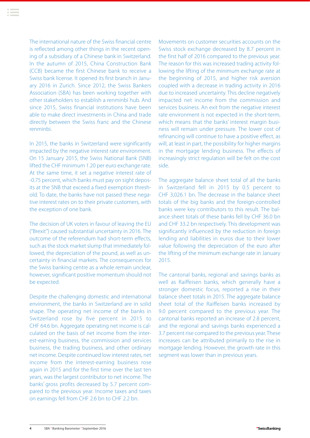The international nature of the Swiss financial centre is reflected among other things in the recent opening of a subsidiary of a Chinese bank in Switzerland. In the autumn of 2015, China Construction Bank (CCB) became the first Chinese bank to receive a Swiss bank license. It opened its first branch in January 2016 in Zurich. Since 2012, the Swiss Bankers Association (SBA) has been working together with other stakeholders to establish a renminbi hub. And since 2015, Swiss financial institutions have been able to make direct investments in China and trade directly between the Swiss franc and the Chinese renminbi.

In 2015, the banks in Switzerland were significantly impacted by the negative interest rate environment. On 15 January 2015, the Swiss National Bank (SNB) lifted the CHF minimum 1.20 per euro exchange rate. At the same time, it set a negative interest rate of -0.75 percent, which banks must pay on sight deposits at the SNB that exceed a fixed exemption threshold. To date, the banks have not passed these negative interest rates on to their private customers, with the exception of one bank.

The decision of UK voters in favour of leaving the EU ("Brexit") caused substantial uncertainty in 2016. The outcome of the referendum had short-term effects, such as the stock market slump that immediately followed, the depreciation of the pound, as well as uncertainty in financial markets. The consequences for the Swiss banking centre as a whole remain unclear, however, significant positive momentum should not be expected.

Despite the challenging domestic and international environment, the banks in Switzerland are in solid shape. The operating net income of the banks in Switzerland rose by five percent in 2015 to CHF 64.6 bn. Aggregate operating net income is calculated on the basis of net income from the interest-earning business, the commission and services business, the trading business, and other ordinary net income. Despite continued low interest rates, net income from the interest-earning business rose again in 2015 and for the first time over the last ten years, was the largest contributor to net income. The banks' gross profits decreased by 5.7 percent compared to the previous year. Income taxes and taxes on earnings fell from CHF 2.6 bn to CHF 2.2 bn.

Movements on customer securities accounts on the Swiss stock exchange decreased by 8.7 percent in the first half of 2016 compared to the previous year. The reason for this was increased trading activity following the lifting of the minimum exchange rate at the beginning of 2015, and higher risk aversion coupled with a decrease in trading activity in 2016 due to increased uncertainty. This decline negatively impacted net income from the commission and services business. An exit from the negative interest rate environment is not expected in the short-term, which means that the banks' interest margin business will remain under pressure. The lower cost of refinancing will continue to have a positive effect, as will, at least in part, the possibility for higher margins in the mortgage lending business. The effects of increasingly strict regulation will be felt on the cost side.

The aggregate balance sheet total of all the banks in Switzerland fell in 2015 by 0.5 percent to CHF 3,026.1 bn. The decrease in the balance sheet totals of the big banks and the foreign-controlled banks were key contributors to this result. The balance sheet totals of these banks fell by CHF 36.0 bn and CHF 33.2 bn respectively. This development was significantly influenced by the reduction in foreign lending and liabilities in euros due to their lower value following the depreciation of the euro after the lifting of the minimum exchange rate in January 2015.

The cantonal banks, regional and savings banks as well as Raiffeisen banks, which generally have a stronger domestic focus, reported a rise in their balance sheet totals in 2015. The aggregate balance sheet total of the Raiffeisen banks increased by 9.0 percent compared to the previous year. The cantonal banks reported an increase of 2.8 percent, and the regional and savings banks experienced a 3.7 percent rise compared to the previous year. These increases can be attributed primarily to the rise in mortgage lending. However, the growth rate in this segment was lower than in previous years.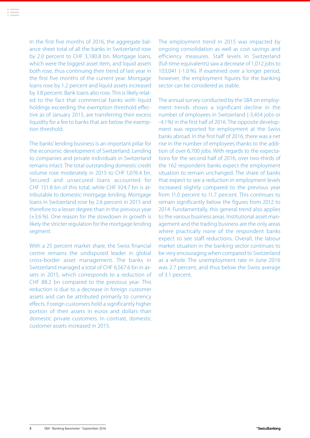In the first five months of 2016, the aggregate balance sheet total of all the banks in Switzerland rose by 2.0 percent to CHF 3,180.8 bn. Mortgage loans, which were the biggest asset item, and liquid assets both rose, thus continuing their trend of last year in the first five months of the current year. Mortgage loans rose by 1.2 percent and liquid assets increased by 3.8 percent. Bank loans also rose. This is likely related to the fact that commercial banks with liquid holdings exceeding the exemption threshold effective as of January 2015, are transferring their excess liquidity for a fee to banks that are below the exemption threshold.

The banks' lending business is an important pillar for the economic development of Switzerland. Lending to companies and private individuals in Switzerland remains intact. The total outstanding domestic credit volume rose moderately in 2015 to CHF 1,076.4 bn. Secured and unsecured loans accounted for CHF 151.8 bn of this total, while CHF 924.7 bn is attributable to domestic mortgage lending. Mortgage loans in Switzerland rose by 2.6 percent in 2015 and therefore to a lesser degree than in the previous year (+3.6 %). One reason for the slowdown in growth is likely the stricter regulation for the mortgage lending segment.

With a 25 percent market share, the Swiss financial centre remains the undisputed leader in global cross-border asset management. The banks in Switzerland managed a total of CHF 6,567.6 bn in assets in 2015, which corresponds to a reduction of CHF 88.2 bn compared to the previous year. This reduction is due to a decrease in foreign customer assets and can be attributed primarily to currency effects. Foreign customers hold a significantly higher portion of their assets in euros and dollars than domestic private customers. In contrast, domestic customer assets increased in 2015.

The employment trend in 2015 was impacted by ongoing consolidation as well as cost savings and efficiency measures. Staff levels in Switzerland (full-time equivalents) saw a decrease of 1,012 jobs to 103,041 (-1.0 %). If examined over a longer period, however, the employment figures for the banking sector can be considered as stable.

The annual survey conducted by the SBA on employment trends shows a significant decline in the number of employees in Switzerland (-3,454 jobs or -4.1%) in the first half of 2016. The opposite development was reported for employment at the Swiss banks abroad. In the first half of 2016, there was a net rise in the number of employees thanks to the addition of over 6,700 jobs. With regards to the expectations for the second half of 2016, over two-thirds of the 162 respondent banks expect the employment situation to remain unchanged. The share of banks that expect to see a reduction in employment levels increased slightly compared to the previous year from 11.0 percent to 11.7 percent. This continues to remain significantly below the figures from 2012 to 2014. Fundamentally, this general trend also applies to the various business areas. Institutional asset management and the trading business are the only areas where practically none of the respondent banks expect to see staff reductions. Overall, the labour market situation in the banking sector continues to be very encouraging when compared to Switzerland as a whole. The unemployment rate in June 2016 was 2.7 percent, and thus below the Swiss average of 3.1 percent.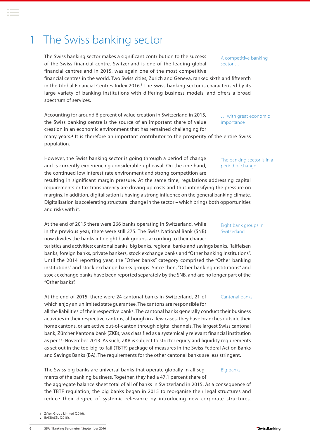<span id="page-5-0"></span>1 The Swiss banking sector

of the Swiss financial centre. Switzerland is one of the leading global financial centres and in 2015, was again one of the most competitive

financial centres in the world. Two Swiss cities, Zurich and Geneva, ranked sixth and fifteenth in the Global Financial Centres Index 2016.**<sup>1</sup>** The Swiss banking sector is characterised by its large variety of banking institutions with differing business models, and offers a broad spectrum of services.

Accounting for around 6 percent of value creation in Switzerland in 2015, the Swiss banking centre is the source of an important share of value creation in an economic environment that has remained challenging for many years.**<sup>2</sup>** It is therefore an important contributor to the prosperity of the entire Swiss population. … with great economic importance

However, the Swiss banking sector is going through a period of change and is currently experiencing considerable upheaval. On the one hand, the continued low interest rate environment and strong competition are

resulting in significant margin pressure. At the same time, regulations addressing capital requirements or tax transparency are driving up costs and thus intensifying the pressure on margins. In addition, digitalisation is having a strong influence on the general banking climate. Digitalisation is accelerating structural change in the sector – which brings both opportunities and risks with it.

At the end of 2015 there were 266 banks operating in Switzerland, while in the previous year, there were still 275. The Swiss National Bank (SNB) now divides the banks into eight bank groups, according to their charac-

teristics and activities: cantonal banks, big banks, regional banks and savings banks, Raiffeisen banks, foreign banks, private bankers, stock exchange banks and "Other banking institutions". Until the 2014 reporting year, the "Other banks" category comprised the "Other banking institutions" and stock exchange banks groups. Since then, "Other banking institutions" and stock exchange banks have been reported separately by the SNB, and are no longer part of the "Other banks".

At the end of 2015, there were 24 cantonal banks in Switzerland, 21 of which enjoy an unlimited state guarantee. The cantons are responsible for all the liabilities of their respective banks. The cantonal banks generally conduct their business activities in their respective cantons, although in a few cases, they have branches outside their home cantons, or are active out-of-canton through digital channels. The largest Swiss cantonal bank, Zürcher Kantonalbank (ZKB), was classified as a systemically relevant financial institution Cantonal banks

as per 1<sup>st</sup> November 2013. As such, ZKB is subject to stricter equity and liquidity requirements as set out in the too-big-to-fail (TBTF) package of measures in the Swiss Federal Act on Banks and Savings Banks (BA). The requirements for the other cantonal banks are less stringent.

The Swiss big banks are universal banks that operate globally in all segments of the banking business. Together, they had a 47.1 percent share of Big banks

the aggregate balance sheet total of all of banks in Switzerland in 2015. As a consequence of the TBTF regulation, the big banks began in 2015 to reorganise their legal structures and reduce their degree of systemic relevance by introducing new corporate structures.

**1** Z/Yen Group Limited (2016).

**2** BAKBASEL (2015).

A competitive banking sector …

The banking sector is in a period of change

Eight bank groups in Switzerland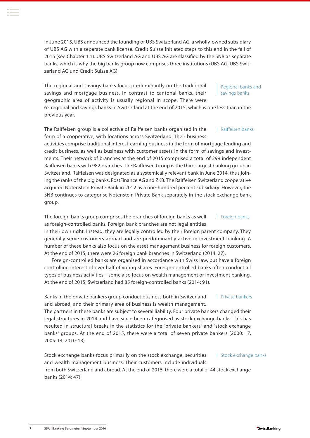In June 2015, UBS announced the founding of UBS Switzerland AG, a wholly-owned subsidiary of UBS AG with a separate bank license. Credit Suisse initiated steps to this end in the fall of 2015 (see Chapter 1.1). UBS Switzerland AG and UBS AG are classified by the SNB as separate banks, which is why the big banks group now comprises three institutions (UBS AG, UBS Switzerland AG und Credit Suisse AG).

The regional and savings banks focus predominantly on the traditional savings and mortgage business. In contrast to cantonal banks, their geographic area of activity is usually regional in scope. There were

Regional banks and savings banks

62 regional and savings banks in Switzerland at the end of 2015, which is one less than in the previous year.

The Raiffeisen group is a collective of Raiffeisen banks organised in the form of a cooperative, with locations across Switzerland. Their business Raiffeisen banks

activities comprise traditional interest-earning business in the form of mortgage lending and credit business, as well as business with customer assets in the form of savings and investments. Their network of branches at the end of 2015 comprised a total of 299 independent Raiffeisen banks with 982 branches. The Raiffeisen Group is the third-largest banking group in Switzerland. Raiffeisen was designated as a systemically relevant bank in June 2014, thus joining the ranks of the big banks, PostFinance AG and ZKB. The Raiffeisen Switzerland cooperative acquired Notenstein Private Bank in 2012 as a one-hundred percent subsidiary. However, the SNB continues to categorise Notenstein Private Bank separately in the stock exchange bank group.

The foreign banks group comprises the branches of foreign banks as well as foreign-controlled banks. Foreign bank branches are not legal entities Foreign banks

in their own right. Instead, they are legally controlled by their foreign parent company. They generally serve customers abroad and are predominantly active in investment banking. A number of these banks also focus on the asset management business for foreign customers. At the end of 2015, there were 26 foreign bank branches in Switzerland (2014: 27).

Foreign-controlled banks are organised in accordance with Swiss law, but have a foreign controlling interest of over half of voting shares. Foreign-controlled banks often conduct all types of business activities – some also focus on wealth management or investment banking. At the end of 2015, Switzerland had 85 foreign-controlled banks (2014: 91).

Banks in the private bankers group conduct business both in Switzerland and abroad, and their primary area of business is wealth management. Private bankers

The partners in these banks are subject to several liability. Four private bankers changed their legal structures in 2014 and have since been categorised as stock exchange banks. This has resulted in structural breaks in the statistics for the "private bankers" and "stock exchange banks" groups. At the end of 2015, there were a total of seven private bankers (2000: 17, 2005: 14, 2010: 13).

Stock exchange banks focus primarily on the stock exchange, securities and wealth management business. Their customers include individuals from both Switzerland and abroad. At the end of 2015, there were a total of 44 stock exchange banks (2014: 47). | Stock exchange banks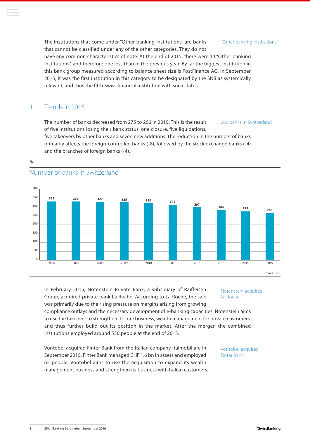<span id="page-7-0"></span>The institutions that come under "Other banking institutions" are banks that cannot be classified under any of the other categories. They do not have any common characteristics of note. At the end of 2015, there were 14 "Other banking institutions", and therefore one less than in the previous year. By far the biggest institution in this bank group measured according to balance sheet size is PostFinance AG. In September 2015, it was the first institution in this category to be designated by the SNB as systemically relevant, and thus the fifth Swiss financial institution with such status. "Other banking institutions"

## 1.1 Trends in 2015

Fig. 1

Number of banks in Switzerland

The number of banks decreased from 275 to 266 in 2015. This is the result of five institutions losing their bank status, one closure, five liquidations, 266 banks in Switzerland

five takeovers by other banks and seven new additions. The reduction in the number of banks primarily affects the foreign-controlled banks (-8), followed by the stock exchange banks (-4) and the branches of foreign banks (-4).



In February 2015, Notenstein Private Bank, a subsidiary of Raiffeisen Group, acquired private bank La Roche. According to La Roche, the sale was primarily due to the rising pressure on margins arising from growing

compliance outlays and the necessary development of e-banking capacities. Notenstein aims to use the takeover to strengthen its core business, wealth management for private customers, and thus further build out its position in the market. After the merger, the combined institutions employed around 550 people at the end of 2015.

Vontobel acquired Finter Bank from the Italian company Italmobiliare in September 2015. Finter Bank managed CHF 1.6 bn in assets and employed 65 people. Vontobel aims to use the acquisition to expand its wealth management business and strengthen its business with Italian customers. Notenstein acquires La Roche

Vontobel acquires Finter Bank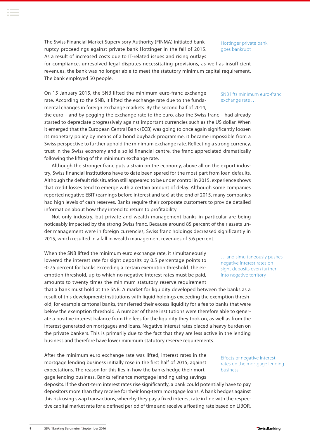**<sup>9</sup>** SBA **.** Banking Barometer **.** September 2016

The Swiss Financial Market Supervisory Authority (FINMA) initiated bankruptcy proceedings against private bank Hottinger in the fall of 2015. As a result of increased costs due to IT-related issues and rising outlays

for compliance, unresolved legal disputes necessitating provisions, as well as insufficient revenues, the bank was no longer able to meet the statutory minimum capital requirement.

On 15 January 2015, the SNB lifted the minimum euro-franc exchange rate. According to the SNB, it lifted the exchange rate due to the fundamental changes in foreign exchange markets. By the second half of 2014,

The bank employed 50 people.

the euro – and by pegging the exchange rate to the euro, also the Swiss franc – had already started to depreciate progressively against important currencies such as the US dollar. When it emerged that the European Central Bank (ECB) was going to once again significantly loosen its monetary policy by means of a bond buyback programme, it became impossible from a Swiss perspective to further uphold the minimum exchange rate. Reflecting a strong currency, trust in the Swiss economy and a solid financial centre, the franc appreciated dramatically following the lifting of the minimum exchange rate.

Although the stronger franc puts a strain on the economy, above all on the export industry, Swiss financial institutions have to date been spared for the most part from loan defaults. Although the default risk situation still appeared to be under control in 2015, experience shows that credit losses tend to emerge with a certain amount of delay. Although some companies reported negative EBIT (earnings before interest and tax) at the end of 2015, many companies had high levels of cash reserves. Banks require their corporate customers to provide detailed information about how they intend to return to profitability.

Not only industry, but private and wealth management banks in particular are being noticeably impacted by the strong Swiss franc. Because around 85 percent of their assets under management were in foreign currencies, Swiss franc holdings decreased significantly in 2015, which resulted in a fall in wealth management revenues of 5.6 percent.

When the SNB lifted the minimum euro exchange rate, it simultaneously lowered the interest rate for sight deposits by 0.5 percentage points to -0.75 percent for banks exceeding a certain exemption threshold. The exemption threshold, up to which no negative interest rates must be paid, amounts to twenty times the minimum statutory reserve requirement

that a bank must hold at the SNB. A market for liquidity developed between the banks as a result of this development: institutions with liquid holdings exceeding the exemption threshold, for example cantonal banks, transferred their excess liquidity for a fee to banks that were below the exemption threshold. A number of these institutions were therefore able to generate a positive interest balance from the fees for the liquidity they took on, as well as from the interest generated on mortgages and loans. Negative interest rates placed a heavy burden on the private bankers. This is primarily due to the fact that they are less active in the lending business and therefore have lower minimum statutory reserve requirements.

After the minimum euro exchange rate was lifted, interest rates in the mortgage lending business initially rose in the first half of 2015, against expectations. The reason for this lies in how the banks hedge their mortgage lending business. Banks refinance mortgage lending using savings

deposits. If the short-term interest rates rise significantly, a bank could potentially have to pay depositors more than they receive for their long-term mortgage loans. A bank hedges against this risk using swap transactions, whereby they pay a fixed interest rate in line with the respective capital market rate for a defined period of time and receive a floating rate based on LIBOR.

… and simultaneously pushes negative interest rates on sight deposits even further into negative territory

Effects of negative interest rates on the mortgage lending

business

SNB lifts minimum euro-franc exchange rate …

Hottinger private bank goes bankrupt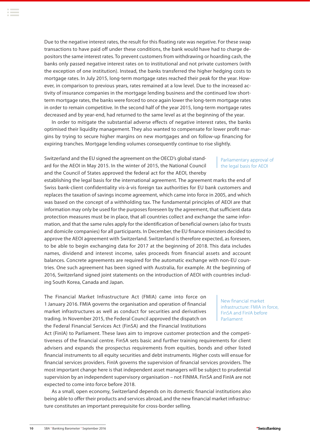**<sup>10</sup>** SBA **.** Banking Barometer **.** September 2016

expected to come into force before 2018.

Due to the negative interest rates, the result for this floating rate was negative. For these swap transactions to have paid off under these conditions, the bank would have had to charge depositors the same interest rates. To prevent customers from withdrawing or hoarding cash, the banks only passed negative interest rates on to institutional and not private customers (with the exception of one institution). Instead, the banks transferred the higher hedging costs to mortgage rates. In July 2015, long-term mortgage rates reached their peak for the year. However, in comparison to previous years, rates remained at a low level. Due to the increased activity of insurance companies in the mortgage lending business and the continued low shortterm mortgage rates, the banks were forced to once again lower the long-term mortgage rates in order to remain competitive. In the second half of the year 2015, long-term mortgage rates decreased and by year-end, had returned to the same level as at the beginning of the year.

In order to mitigate the substantial adverse effects of negative interest rates, the banks optimised their liquidity management. They also wanted to compensate for lower profit margins by trying to secure higher margins on new mortgages and on follow-up financing for expiring tranches. Mortgage lending volumes consequently continue to rise slightly.

Switzerland and the EU signed the agreement on the OECD's global standard for the AEOI in May 2015. In the winter of 2015, the National Council and the Council of States approved the federal act for the AEOI, thereby

establishing the legal basis for the international agreement. The agreement marks the end of Swiss bank-client confidentiality vis-à-vis foreign tax authorities for EU bank customers and replaces the taxation of savings income agreement, which came into force in 2005, and which was based on the concept of a withholding tax. The fundamental principles of AEOI are that information may only be used for the purposes foreseen by the agreement, that sufficient data protection measures must be in place, that all countries collect and exchange the same information, and that the same rules apply for the identification of beneficial owners (also for trusts and domicile companies) for all participants. In December, the EU finance ministers decided to approve the AEOI agreement with Switzerland. Switzerland is therefore expected, as foreseen, to be able to begin exchanging data for 2017 at the beginning of 2018. This data includes names, dividend and interest income, sales proceeds from financial assets and account balances. Concrete agreements are required for the automatic exchange with non-EU countries. One such agreement has been signed with Australia, for example. At the beginning of 2016, Switzerland signed joint statements on the introduction of AEOI with countries including South Korea, Canada and Japan.

Act (FinIA) to Parliament. These laws aim to improve customer protection and the competitiveness of the financial centre. FinSA sets basic and further training requirements for client advisers and expands the prospectus requirements from equities, bonds and other listed financial instruments to all equity securities and debt instruments. Higher costs will ensue for financial services providers. FinIA governs the supervision of financial services providers. The most important change here is that independent asset managers will be subject to prudential supervision by an independent supervisory organisation – not FINMA. FinSA and FinIA are not

As a small, open economy, Switzerland depends on its domestic financial institutions also being able to offer their products and services abroad, and the new financial market infrastruc-

The Financial Market Infrastructure Act (FMIA) came into force on 1 January 2016. FMIA governs the organisation and operation of financial market infrastructures as well as conduct for securities and derivatives trading. In November 2015, the Federal Council approved the dispatch on the Federal Financial Services Act (FinSA) and the Financial Institutions

ture constitutes an important prerequisite for cross-border selling.

FinSA and FinIA before Parliament

Parliamentary approval of | the legal basis for AEOI

New financial market infrastructure: FMIA in force,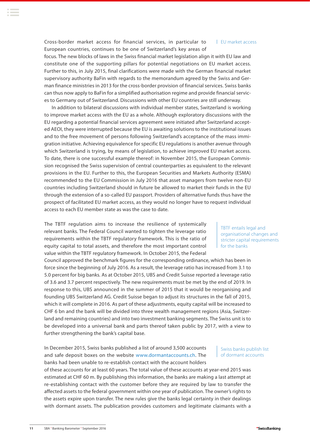Cross-border market access for financial services, in particular to European countries, continues to be one of Switzerland's key areas of EU market access

focus. The new blocks of laws in the Swiss financial market legislation align it with EU law and constitute one of the supporting pillars for potential negotiations on EU market access. Further to this, in July 2015, final clarifications were made with the German financial market supervisory authority BaFin with regards to the memorandum agreed by the Swiss and German finance ministries in 2013 for the cross-border provision of financial services. Swiss banks can thus now apply to BaFin for a simplified authorisation regime and provide financial services to Germany out of Switzerland. Discussions with other EU countries are still underway.

In addition to bilateral discussions with individual member states, Switzerland is working to improve market access with the EU as a whole. Although exploratory discussions with the EU regarding a potential financial services agreement were initiated after Switzerland accepted AEOI, they were interrupted because the EU is awaiting solutions to the institutional issues and to the free movement of persons following Switzerland's acceptance of the mass immigration initiative. Achieving equivalence for specific EU regulations is another avenue through which Switzerland is trying, by means of legislation, to achieve improved EU market access. To date, there is one successful example thereof: in November 2015, the European Commission recognised the Swiss supervision of central counterparties as equivalent to the relevant provisions in the EU. Further to this, the European Securities and Markets Authority (ESMA) recommended to the EU Commission in July 2016 that asset managers from twelve non-EU countries including Switzerland should in future be allowed to market their funds in the EU through the extension of a so-called EU passport. Providers of alternative funds thus have the prospect of facilitated EU market access, as they would no longer have to request individual access to each EU member state as was the case to date.

The TBTF regulation aims to increase the resilience of systemically relevant banks. The Federal Council wanted to tighten the leverage ratio requirements within the TBTF regulatory framework. This is the ratio of equity capital to total assets, and therefore the most important control value within the TBTF regulatory framework. In October 2015, the Federal

Council approved the benchmark figures for the corresponding ordinance, which has been in force since the beginning of July 2016. As a result, the leverage ratio has increased from 3.1 to 5.0 percent for big banks. As at October 2015, UBS and Credit Suisse reported a leverage ratio of 3.6 and 3.7 percent respectively. The new requirements must be met by the end of 2019. In response to this, UBS announced in the summer of 2015 that it would be reorganising and founding UBS Switzerland AG. Credit Suisse began to adjust its structures in the fall of 2015, which it will complete in 2016. As part of these adjustments, equity capital will be increased to CHF 6 bn and the bank will be divided into three wealth management regions (Asia, Switzerland and remaining countries) and into two investment banking segments. The Swiss unit is to be developed into a universal bank and parts thereof taken public by 2017, with a view to further strengthening the bank's capital base.

In December 2015, Swiss banks published a list of around 3,500 accounts and safe deposit boxes on the website www.dormantaccounts.ch. The banks had been unable to re-establish contact with the account holders

of these accounts for at least 60 years. The total value of these accounts at year-end 2015 was estimated at CHF 60 m. By publishing this information, the banks are making a last attempt at re-establishing contact with the customer before they are required by law to transfer the affected assets to the federal government within one year of publication. The owner's rights to the assets expire upon transfer. The new rules give the banks legal certainty in their dealings with dormant assets. The publication provides customers and legitimate claimants with a

TBTF entails legal and organisational changes and stricter capital requirements for the banks

Swiss banks publish list of dormant accounts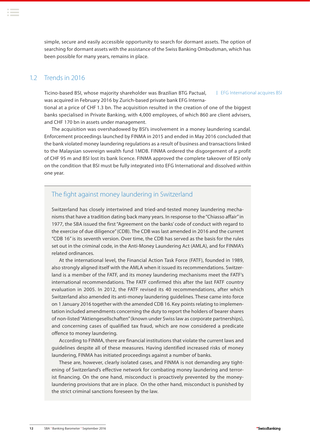<span id="page-11-0"></span>simple, secure and easily accessible opportunity to search for dormant assets. The option of searching for dormant assets with the assistance of the Swiss Banking Ombudsman, which has been possible for many years, remains in place.

## 12 Trends in 2016

Ticino-based BSI, whose majority shareholder was Brazilian BTG Pactual, was acquired in February 2016 by Zurich-based private bank EFG Interna-

EFG International acquires BSI

tional at a price of CHF 1.3 bn. The acquisition resulted in the creation of one of the biggest banks specialised in Private Banking, with 4,000 employees, of which 860 are client advisers, and CHF 170 bn in assets under management.

The acquisition was overshadowed by BSI's involvement in a money laundering scandal. Enforcement proceedings launched by FINMA in 2015 and ended in May 2016 concluded that the bank violated money laundering regulations as a result of business and transactions linked to the Malaysian sovereign wealth fund 1MDB. FINMA ordered the disgorgement of a profit of CHF 95 m and BSI lost its bank licence. FINMA approved the complete takeover of BSI only on the condition that BSI must be fully integrated into EFG International and dissolved within one year.

## The fight against money laundering in Switzerland

Switzerland has closely intertwined and tried-and-tested money laundering mechanisms that have a tradition dating back many years. In response to the "Chiasso affair" in 1977, the SBA issued the first "Agreement on the banks' code of conduct with regard to the exercise of due diligence" (CDB). The CDB was last amended in 2016 and the current "CDB 16" is its seventh version. Over time, the CDB has served as the basis for the rules set out in the criminal code, in the Anti-Money Laundering Act (AMLA), and for FINMA's related ordinances.

At the international level, the Financial Action Task Force (FATF), founded in 1989, also strongly aligned itself with the AMLA when it issued its recommendations. Switzerland is a member of the FATF, and its money laundering mechanisms meet the FATF's international recommendations. The FATF confirmed this after the last FATF country evaluation in 2005. In 2012, the FATF revised its 40 recommendations, after which Switzerland also amended its anti-money laundering guidelines. These came into force on 1 January 2016 together with the amended CDB 16. Key points relating to implementation included amendments concerning the duty to report the holders of bearer shares of non-listed "Aktiengesellschaften" (known under Swiss law as corporate partnerships), and concerning cases of qualified tax fraud, which are now considered a predicate offence to money laundering.

According to FINMA, there are financial institutions that violate the current laws and guidelines despite all of these measures. Having identified increased risks of money laundering, FINMA has initiated proceedings against a number of banks.

These are, however, clearly isolated cases, and FINMA is not demanding any tightening of Switzerland's effective network for combating money laundering and terrorist financing. On the one hand, misconduct is proactively prevented by the moneylaundering provisions that are in place. On the other hand, misconduct is punished by the strict criminal sanctions foreseen by the law.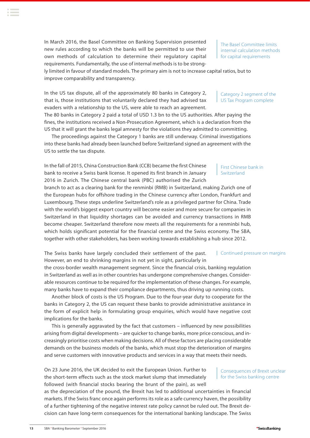**<sup>13</sup>** SBA **.** Banking Barometer **.** September 2016

In March 2016, the Basel Committee on Banking Supervision presented new rules according to which the banks will be permitted to use their own methods of calculation to determine their regulatory capital requirements. Fundamentally, the use of internal methods is to be strong-

ly limited in favour of standard models. The primary aim is not to increase capital ratios, but to improve comparability and transparency.

In the US tax dispute, all of the approximately 80 banks in Category 2, that is, those institutions that voluntarily declared they had advised tax evaders with a relationship to the US, were able to reach an agreement. The 80 banks in Category 2 paid a total of USD 1.3 bn to the US authorities. After paying the

fines, the institutions received a Non-Prosecution Agreement, which is a declaration from the US that it will grant the banks legal amnesty for the violations they admitted to committing.

The proceedings against the Category 1 banks are still underway. Criminal investigations into these banks had already been launched before Switzerland signed an agreement with the US to settle the tax dispute.

In the fall of 2015, China Construction Bank (CCB) became the first Chinese bank to receive a Swiss bank license. It opened its first branch in January 2016 in Zurich. The Chinese central bank (PBC) authorised the Zurich

branch to act as a clearing bank for the renminbi (RMB) in Switzerland, making Zurich one of the European hubs for offshore trading in the Chinese currency after London, Frankfurt and Luxembourg. These steps underline Switzerland's role as a privileged partner for China. Trade with the world's biggest export country will become easier and more secure for companies in Switzerland in that liquidity shortages can be avoided and currency transactions in RMB become cheaper. Switzerland therefore now meets all the requirements for a renminbi hub, which holds significant potential for the financial centre and the Swiss economy. The SBA, together with other stakeholders, has been working towards establishing a hub since 2012.

The Swiss banks have largely concluded their settlement of the past. However, an end to shrinking margins in not yet in sight, particularly in Continued pressure on margins

the cross-border wealth management segment. Since the financial crisis, banking regulation in Switzerland as well as in other countries has undergone comprehensive changes. Considerable resources continue to be required for the implementation of these changes. For example, many banks have to expand their compliance departments, thus driving up running costs.

Another block of costs is the US Program. Due to the four-year duty to cooperate for the banks in Category 2, the US can request these banks to provide administrative assistance in the form of explicit help in formulating group enquiries, which would have negative cost implications for the banks.

This is generally aggravated by the fact that customers – influenced by new possibilities arising from digital developments – are quicker to change banks, more price conscious, and increasingly prioritise costs when making decisions. All of these factors are placing considerable demands on the business models of the banks, which must stop the deterioration of margins and serve customers with innovative products and services in a way that meets their needs.

as the depreciation of the pound, the Brexit has led to additional uncertainties in financial markets. If the Swiss franc once again performs its role as a safe currency haven, the possibility of a further tightening of the negative interest rate policy cannot be ruled out. The Brexit decision can have long-term consequences for the international banking landscape. The Swiss

On 23 June 2016, the UK decided to exit the European Union. Further to the short-term effects such as the stock market slump that immediately followed (with financial stocks bearing the brunt of the pain), as well

Consequences of Brexit unclear for the Swiss banking centre

First Chinese bank in

## Switzerland

Category 2 segment of the US Tax Program complete

The Basel Committee limits internal calculation methods for capital requirements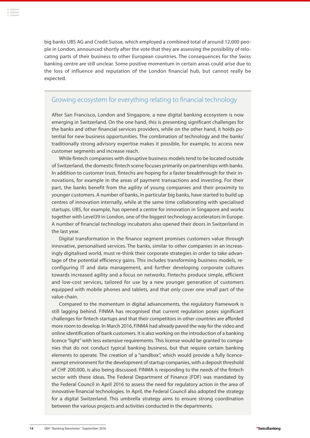big banks UBS AG and Credit Suisse, which employed a combined total of around 12,000 people in London, announced shortly after the vote that they are assessing the possibility of relocating parts of their business to other European countries. The consequences for the Swiss banking centre are still unclear. Some positive momentum in certain areas could arise due to the loss of influence and reputation of the London financial hub, but cannot really be expected.

## Growing ecosystem for everything relating to financial technology

After San Francisco, London and Singapore, a new digital banking ecosystem is now emerging in Switzerland. On the one hand, this is presenting significant challenges for the banks and other financial services providers, while on the other hand, it holds potential for new business opportunities. The combination of technology and the banks' traditionally strong advisory expertise makes it possible, for example, to access new customer segments and increase reach.

While fintech companies with disruptive business models tend to be located outside of Switzerland, the domestic fintech scene focuses primarily on partnerships with banks. In addition to customer trust, fintechs are hoping for a faster breakthrough for their innovations, for example in the areas of payment transactions and investing. For their part, the banks benefit from the agility of young companies and their proximity to younger customers. A number of banks, in particular big banks, have started to build up centres of innovation internally, while at the same time collaborating with specialised startups. UBS, for example, has opened a centre for innovation in Singapore and works together with Level39 in London, one of the biggest technology accelerators in Europe. A number of financial technology incubators also opened their doors in Switzerland in the last year.

Digital transformation in the finance segment promises customers value through innovative, personalised services. The banks, similar to other companies in an increasingly digitalised world, must re-think their corporate strategies in order to take advantage of the potential efficiency gains. This includes transforming business models, reconfiguring IT and data management, and further developing corporate cultures towards increased agility and a focus on networks. Fintechs produce simple, efficient and low-cost services, tailored for use by a new younger generation of customers equipped with mobile phones and tablets, and that only cover one small part of the value chain.

Compared to the momentum in digital advancements, the regulatory framework is still lagging behind. FINMA has recognised that current regulation poses significant challenges for fintech startups and that their competitors in other countries are afforded more room to develop. In March 2016, FINMA had already paved the way for the video and online identification of bank customers. It is also working on the introduction of a banking licence "light" with less extensive requirements. This license would be granted to companies that do not conduct typical banking business, but that require certain banking elements to operate. The creation of a "sandbox", which would provide a fully licenceexempt environment for the development of startup companies, with a deposit threshold of CHF 200,000, is also being discussed. FINMA is responding to the needs of the fintech sector with these ideas. The Federal Department of Finance (FDF) was mandated by the Federal Council in April 2016 to assess the need for regulatory action in the area of innovative financial technologies. In April, the Federal Council also adopted the strategy for a digital Switzerland. This umbrella strategy aims to ensure strong coordination between the various projects and activities conducted in the departments.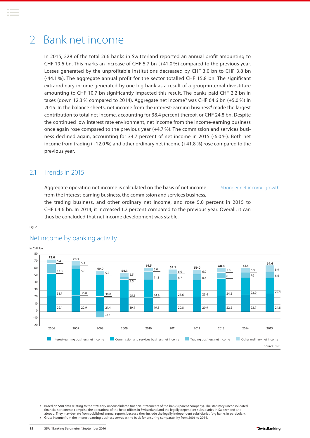## <span id="page-14-0"></span>2 Bank net income

In 2015, 228 of the total 266 banks in Switzerland reported an annual profit amounting to CHF 19.6 bn. This marks an increase of CHF 5.7 bn (+41.0 %) compared to the previous year. Losses generated by the unprofitable institutions decreased by CHF 3.0 bn to CHF 3.8 bn (-44.1 %). The aggregate annual profit for the sector totalled CHF 15.8 bn. The significant extraordinary income generated by one big bank as a result of a group-internal divestiture amounting to CHF 10.7 bn significantly impacted this result. The banks paid CHF 2.2 bn in taxes (down 12.3 % compared to 2014). Aggregate net income**<sup>3</sup>** was CHF 64.6 bn (+5.0 %) in 2015. In the balance sheets, net income from the interest-earning business**<sup>4</sup>** made the largest contribution to total net income, accounting for 38.4 percent thereof, or CHF 24.8 bn. Despite the continued low interest rate environment, net income from the income-earning business once again rose compared to the previous year (+4.7 %). The commission and services business declined again, accounting for 34.7 percent of net income in 2015 (-6.0 %). Both net income from trading (+12.0 %) and other ordinary net income (+41.8 %) rose compared to the previous year.

## 2.1 Trends in 2015

Fig. 2

Aggregate operating net income is calculated on the basis of net income from the interest-earning business, the commission and services business, Stronger net income growth

the trading business, and other ordinary net income, and rose 5.0 percent in 2015 to CHF 64.6 bn. In 2014, it increased 1.2 percent compared to the previous year. Overall, it can thus be concluded that net income development was stable.



### Net income by banking activity

**3** Based on SNB data relating to the statutory unconsolidated financial statements of the banks (parent company). The statutory unconsolidated financial statements comprise the operations of the head offices in Switzerland and the legally dependent subsidiaries in Switzerland and abroad. They may deviate from published annual reports because they include the legally independent subsidiaries (big banks in particular). **4** Gross income from the interest-earning business serves as the basis for ensuring comparability from 2006 to 2014.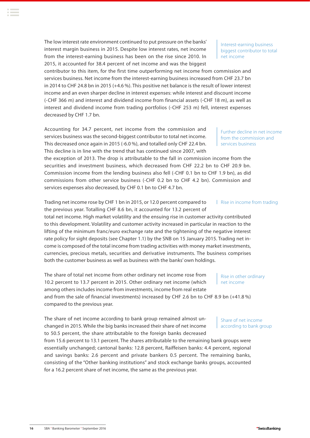The low interest rate environment continued to put pressure on the banks' interest margin business in 2015. Despite low interest rates, net income from the interest-earning business has been on the rise since 2010. In 2015, it accounted for 38.4 percent of net income and was the biggest

contributor to this item, for the first time outperforming net income from commission and services business. Net income from the interest-earning business increased from CHF 23.7 bn in 2014 to CHF 24.8 bn in 2015 (+4.6 %). This positive net balance is the result of lower interest income and an even sharper decline in interest expenses: while interest and discount income (-CHF 366 m) and interest and dividend income from financial assets (-CHF 18 m), as well as interest and dividend income from trading portfolios (-CHF 253 m) fell, interest expenses decreased by CHF 1.7 bn.

Accounting for 34.7 percent, net income from the commission and services business was the second-biggest contributor to total net income. This decreased once again in 2015 (-6.0 %), and totalled only CHF 22.4 bn. This decline is in line with the trend that has continued since 2007, with

the exception of 2013. The drop is attributable to the fall in commission income from the securities and investment business, which decreased from CHF 22.2 bn to CHF 20.9 bn. Commission income from the lending business also fell (-CHF 0.1 bn to CHF 1.9 bn), as did commissions from other service business (-CHF 0.2 bn to CHF 4.2 bn). Commission and services expenses also decreased, by CHF 0.1 bn to CHF 4.7 bn.

Trading net income rose by CHF 1 bn in 2015, or 12.0 percent compared to the previous year. Totalling CHF 8.6 bn, it accounted for 13.2 percent of

total net income. High market volatility and the ensuing rise in customer activity contributed to this development. Volatility and customer activity increased in particular in reaction to the lifting of the minimum franc/euro exchange rate and the tightening of the negative interest rate policy for sight deposits (see Chapter 1.1) by the SNB on 15 January 2015. Trading net income is composed of the total income from trading activities with money market investments, currencies, precious metals, securities and derivative instruments. The business comprises both the customer business as well as business with the banks' own holdings.

The share of total net income from other ordinary net income rose from 10.2 percent to 13.7 percent in 2015. Other ordinary net income (which among others includes income from investments, income from real estate

and from the sale of financial investments) increased by CHF 2.6 bn to CHF 8.9 bn (+41.8 %) compared to the previous year.

The share of net income according to bank group remained almost unchanged in 2015. While the big banks increased their share of net income to 50.5 percent, the share attributable to the foreign banks decreased

from 15.6 percent to 13.1 percent. The shares attributable to the remaining bank groups were essentially unchanged; cantonal banks: 12.8 percent, Raiffeisen banks: 4.4 percent, regional and savings banks: 2.6 percent and private bankers 0.5 percent. The remaining banks, consisting of the "Other banking institutions" and stock exchange banks groups, accounted for a 16.2 percent share of net income, the same as the previous year.

| Rise in income from trading

biggest contributor to total net income

Further decline in net income from the commission and

services business

Interest-earning business

Share of net income according to bank group

Rise in other ordinary

net income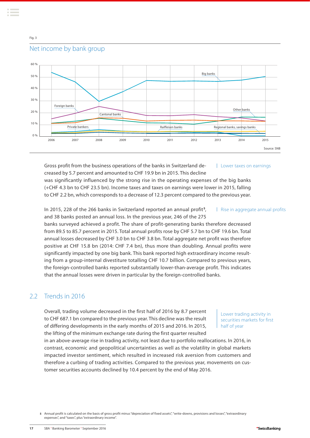### <span id="page-16-0"></span>Fig. 3

## Net income by bank group



Gross profit from the business operations of the banks in Switzerland decreased by 5.7 percent and amounted to CHF 19.9 bn in 2015. This decline was significantly influenced by the strong rise in the operating expenses of the big banks (+CHF 4.3 bn to CHF 23.5 bn). Income taxes and taxes on earnings were lower in 2015, falling to CHF 2.2 bn, which corresponds to a decrease of 12.3 percent compared to the previous year. Lower taxes on earnings

In 2015, 228 of the 266 banks in Switzerland reported an annual profit **<sup>5</sup>** , and 38 banks posted an annual loss. In the previous year, 246 of the 275

banks surveyed achieved a profit. The share of profit-generating banks therefore decreased from 89.5 to 85.7 percent in 2015. Total annual profits rose by CHF 5.7 bn to CHF 19.6 bn. Total annual losses decreased by CHF 3.0 bn to CHF 3.8 bn. Total aggregate net profit was therefore positive at CHF 15.8 bn (2014: CHF 7.4 bn), thus more than doubling. Annual profits were significantly impacted by one big bank. This bank reported high extraordinary income resulting from a group-internal divestiture totalling CHF 10.7 billion. Compared to previous years, the foreign-controlled banks reported substantially lower-than-average profit. This indicates that the annual losses were driven in particular by the foreign-controlled banks.

## 2.2 Trends in 2016

Overall, trading volume decreased in the first half of 2016 by 8.7 percent to CHF 687.1 bn compared to the previous year. This decline was the result of differing developments in the early months of 2015 and 2016. In 2015, the lifting of the minimum exchange rate during the first quarter resulted

Lower trading activity in securities markets for first half of year

in an above-average rise in trading activity, not least due to portfolio reallocations. In 2016, in contrast, economic and geopolitical uncertainties as well as the volatility in global markets impacted investor sentiment, which resulted in increased risk aversion from customers and therefore a curbing of trading activities. Compared to the previous year, movements on customer securities accounts declined by 10.4 percent by the end of May 2016.

**5** Annual profit is calculated on the basis of gross profit minus "depreciation of fixed assets", "write-downs, provisions and losses", "extraordinary expenses", and "taxes", plus "extraordinary income".

| Rise in aggregate annual profits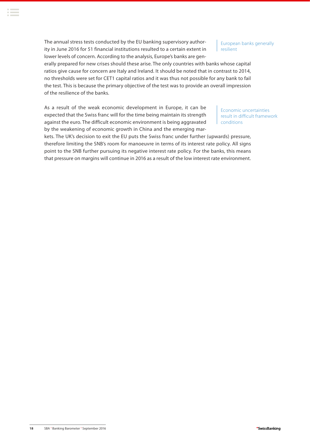The annual stress tests conducted by the EU banking supervisory authority in June 2016 for 51 financial institutions resulted to a certain extent in lower levels of concern. According to the analysis, Europe's banks are gen-

European banks generally resilient

erally prepared for new crises should these arise. The only countries with banks whose capital ratios give cause for concern are Italy and Ireland. It should be noted that in contrast to 2014, no thresholds were set for CET1 capital ratios and it was thus not possible for any bank to fail the test. This is because the primary objective of the test was to provide an overall impression of the resilience of the banks.

As a result of the weak economic development in Europe, it can be expected that the Swiss franc will for the time being maintain its strength against the euro. The difficult economic environment is being aggravated by the weakening of economic growth in China and the emerging mar-

Economic uncertainties result in difficult framework conditions

kets. The UK's decision to exit the EU puts the Swiss franc under further (upwards) pressure, therefore limiting the SNB's room for manoeuvre in terms of its interest rate policy. All signs point to the SNB further pursuing its negative interest rate policy. For the banks, this means that pressure on margins will continue in 2016 as a result of the low interest rate environment.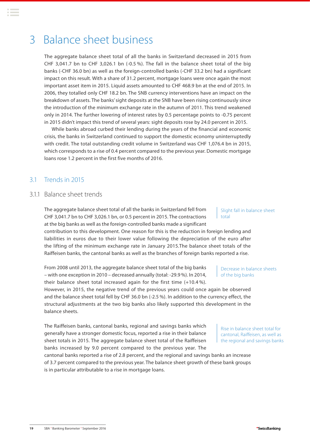## <span id="page-18-0"></span>3 Balance sheet business

The aggregate balance sheet total of all the banks in Switzerland decreased in 2015 from CHF 3,041.7 bn to CHF 3,026.1 bn (-0.5 %). The fall in the balance sheet total of the big banks (-CHF 36.0 bn) as well as the foreign-controlled banks (-CHF 33.2 bn) had a significant impact on this result. With a share of 31.2 percent, mortgage loans were once again the most important asset item in 2015. Liquid assets amounted to CHF 468.9 bn at the end of 2015. In 2006, they totalled only CHF 18.2 bn. The SNB currency interventions have an impact on the breakdown of assets. The banks' sight deposits at the SNB have been rising continuously since the introduction of the minimum exchange rate in the autumn of 2011. This trend weakened only in 2014. The further lowering of interest rates by 0.5 percentage points to -0.75 percent in 2015 didn't impact this trend of several years: sight deposits rose by 24.0 percent in 2015.

While banks abroad curbed their lending during the years of the financial and economic crisis, the banks in Switzerland continued to support the domestic economy uninterruptedly with credit. The total outstanding credit volume in Switzerland was CHF 1,076.4 bn in 2015, which corresponds to a rise of 0.4 percent compared to the previous year. Domestic mortgage loans rose 1.2 percent in the first five months of 2016.

## 3.1 Trends in 2015

### 3.1.1 Balance sheet trends

The aggregate balance sheet total of all the banks in Switzerland fell from CHF 3,041.7 bn to CHF 3,026.1 bn, or 0.5 percent in 2015. The contractions at the big banks as well as the foreign-controlled banks made a significant

contribution to this development. One reason for this is the reduction in foreign lending and liabilities in euros due to their lower value following the depreciation of the euro after the lifting of the minimum exchange rate in January 2015.The balance sheet totals of the Raiffeisen banks, the cantonal banks as well as the branches of foreign banks reported a rise.

From 2008 until 2013, the aggregate balance sheet total of the big banks – with one exception in 2010 – decreased annually (total: -29.9 %). In 2014, their balance sheet total increased again for the first time (+10.4 %).

However, in 2015, the negative trend of the previous years could once again be observed and the balance sheet total fell by CHF 36.0 bn (-2.5 %). In addition to the currency effect, the structural adjustments at the two big banks also likely supported this development in the balance sheets.

The Raiffeisen banks, cantonal banks, regional and savings banks which generally have a stronger domestic focus, reported a rise in their balance sheet totals in 2015. The aggregate balance sheet total of the Raiffeisen banks increased by 9.0 percent compared to the previous year. The

cantonal banks reported a rise of 2.8 percent, and the regional and savings banks an increase of 3.7 percent compared to the previous year. The balance sheet growth of these bank groups is in particular attributable to a rise in mortgage loans.

Slight fall in balance sheet total

Decrease in balance sheets

of the big banks

Rise in balance sheet total for cantonal, Raiffeisen, as well as the regional and savings banks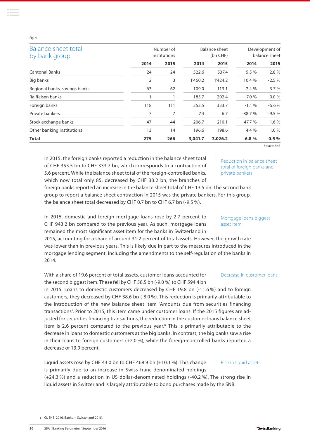#### Fig. 4

| Balance sheet total<br>by bank group | Number of<br>institutions |      | <b>Balance sheet</b><br>(bn CHF) |         | Development of<br>balance sheet |         |
|--------------------------------------|---------------------------|------|----------------------------------|---------|---------------------------------|---------|
|                                      | 2014                      | 2015 | 2014                             | 2015    | 2014                            | 2015    |
| <b>Cantonal Banks</b>                | 24                        | 24   | 522.6                            | 537.4   | 5.5 %                           | 2.8%    |
| Big banks                            | 2                         | 3    | 1'460.2                          | 1'424.2 | 10.4 %                          | $-2.5%$ |
| Regional banks, savings banks        | 63                        | 62   | 109.0                            | 113.1   | 2.4%                            | 3.7%    |
| Raiffeisen banks                     |                           |      | 185.7                            | 202.4   | 7.0 %                           | 9.0%    |
| Foreign banks                        | 118                       | 111  | 353.5                            | 333.7   | $-1.1%$                         | $-5.6%$ |
| Private bankers                      | 7                         | 7    | 7.4                              | 6.7     | $-88.7%$                        | $-9.5%$ |
| Stock exchange banks                 | 47                        | 44   | 206.7                            | 210.1   | 47.7 %                          | 1.6 %   |
| Other banking institutions           | 13                        | 14   | 196.6                            | 198.6   | 4.4 %                           | 1.0%    |
| <b>Total</b>                         | 275                       | 266  | 3,041.7                          | 3,026.2 | 6.8%                            | $-0.5%$ |

Source: SNB

In 2015, the foreign banks reported a reduction in the balance sheet total of CHF 353.5 bn to CHF 333.7 bn, which corresponds to a contraction of 5.6 percent. While the balance sheet total of the foreign-controlled banks, which now total only 85, decreased by CHF 33.2 bn, the branches of

Reduction in balance sheet total of foreign banks and private bankers

Mortgage loans biggest

Decrease in customer loans

asset item

foreign banks reported an increase in the balance sheet total of CHF 13.5 bn. The second bank group to report a balance sheet contraction in 2015 was the private bankers. For this group, the balance sheet total decreased by CHF 0.7 bn to CHF 6.7 bn (-9.5 %).

In 2015, domestic and foreign mortgage loans rose by 2.7 percent to CHF 943.2 bn compared to the previous year. As such, mortgage loans remained the most significant asset item for the banks in Switzerland in

2015, accounting for a share of around 31.2 percent of total assets. However, the growth rate was lower than in previous years. This is likely due in part to the measures introduced in the mortgage lending segment, including the amendments to the self-regulation of the banks in 2014.

With a share of 19.6 percent of total assets, customer loans accounted for the second biggest item. These fell by CHF 58.5 bn (-9.0 %) to CHF 594.4 bn

in 2015. Loans to domestic customers decreased by CHF 19.8 bn (-11.6 %) and to foreign customers, they decreased by CHF 38.6 bn (-8.0 %). This reduction is primarily attributable to the introduction of the new balance sheet item "Amounts due from securities financing transactions". Prior to 2015, this item came under customer loans. If the 2015 figures are adjusted for securities financing transactions, the reduction in the customer loans balance sheet item is 2.6 percent compared to the previous year.**<sup>6</sup>** This is primarily attributable to the decrease in loans to domestic customers at the big banks. In contrast, the big banks saw a rise in their loans to foreign customers (+2.0 %), while the foreign-controlled banks reported a decrease of 13.9 percent.

Liquid assets rose by CHF 43.0 bn to CHF 468.9 bn (+10.1 %). This change is primarily due to an increase in Swiss franc-denominated holdings (+24.3 %) and a reduction in US dollar-denominated holdings (-40.2 %). The strong rise in liquid assets in Switzerland is largely attributable to bond purchases made by the SNB. | Rise in liquid assets

**6** Cf. SNB, 2016, Banks in Switzerland 2015.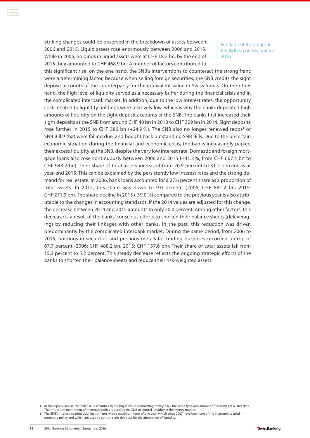Striking changes could be observed in the breakdown of assets between 2006 and 2015. Liquid assets rose enormously between 2006 and 2015. While in 2006, holdings in liquid assets were at CHF 18.2 bn, by the end of 2015 they amounted to CHF 468.9 bn. A number of factors contributed to

Fundamental changes in breakdown of assets since 2006

this significant rise: on the one hand, the SNB's interventions to counteract the strong franc were a determining factor, because when selling foreign securities, the SNB credits the sight deposit accounts of the counterparty for the equivalent value in Swiss francs. On the other hand, the high level of liquidity served as a necessary buffer during the financial crisis and in the complicated interbank market. In addition, due to the low interest rates, the opportunity costs related to liquidity holdings were relatively low, which is why the banks deposited high amounts of liquidity on the sight deposit accounts at the SNB. The banks first increased their sight deposits at the SNB from around CHF 40 bn in 2010 to CHF 309 bn in 2014. Sight deposits rose further in 2015 to CHF 386 bn (+24.9 %). The SNB also no longer renewed repos**<sup>7</sup>** or SNB Bills**<sup>8</sup>** that were falling due, and bought back outstanding SNB Bills. Due to the uncertain economic situation during the financial and economic crisis, the banks increasingly parked their excess liquidity at the SNB, despite the very low interest rate. Domestic and foreign mortgage loans also rose continuously between 2006 and 2015 (+41.3 %, from CHF 667.4 bn to CHF 943.2 bn). Their share of total assets increased from 20.9 percent to 31.2 percent as at year-end 2015. This can be explained by the persistently low interest rates and the strong demand for real estate. In 2006, bank loans accounted for a 27.6 percent share as a proportion of total assets. In 2015, this share was down to 9.0 percent (2006: CHF 881.2 bn, 2015: CHF 271.9 bn). The sharp decline in 2015 (-39.0 %) compared to the previous year is also attributable to the changes in accounting standards. If the 2014 values are adjusted for this change, the decrease between 2014 and 2015 amounts to only 20.0 percent. Among other factors, this decrease is a result of the banks' conscious efforts to shorten their balance sheets (deleveraging) by reducing their linkages with other banks. In the past, this reduction was driven predominantly by the complicated interbank market. During the same period, from 2006 to 2015, holdings in securities and precious metals for trading purposes recorded a drop of 67.7 percent (2006: CHF 488.2 bn, 2015: CHF 157.6 bn). Their share of total assets fell from 15.3 percent to 5.2 percent. This steady decrease reflects the ongoing strategic efforts of the banks to shorten their balance sheets and reduce their risk-weighted assets.

**<sup>7</sup>** In the repo business, the seller sells securities to the buyer while committing to buy back the same type and amount of securities at a later date.

This important instrument of monetary policy is used by the SNB to control liquidity in the money market. **8** The SNB's interest-bearing debt instruments with a maximum term of one year, which since 2007 have been one of the instruments used in

monetary policy and which are used to control sight deposits for the absorption of liquidity.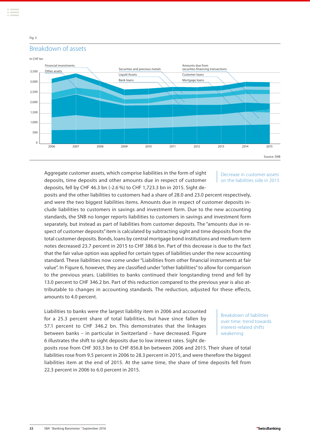

Aggregate customer assets, which comprise liabilities in the form of sight deposits, time deposits and other amounts due in respect of customer deposits, fell by CHF 46.3 bn (-2.6 %) to CHF 1,723.3 bn in 2015. Sight de-

Decrease in customer assets on the liabilities side in 2015

posits and the other liabilities to customers had a share of 28.0 and 23.0 percent respectively, and were the two biggest liabilities items. Amounts due in respect of customer deposits include liabilities to customers in savings and investment form. Due to the new accounting standards, the SNB no longer reports liabilities to customers in savings and investment form separately, but instead as part of liabilities from customer deposits. The "amounts due in respect of customer deposits" item is calculated by subtracting sight and time deposits from the total customer deposits. Bonds, loans by central mortgage bond institutions and medium-term notes decreased 23.7 percent in 2015 to CHF 386.6 bn. Part of this decrease is due to the fact that the fair value option was applied for certain types of liabilities under the new accounting standard. These liabilities now come under "Liabilities from other financial instruments at fair value". In Figure 6, however, they are classified under "other liabilities" to allow for comparison to the previous years. Liabilities to banks continued their longstanding trend and fell by 13.0 percent to CHF 346.2 bn. Part of this reduction compared to the previous year is also attributable to changes in accounting standards. The reduction, adjusted for these effects, amounts to 4.0 percent.

Liabilities to banks were the largest liability item in 2006 and accounted for a 25.3 percent share of total liabilities, but have since fallen by 57.1 percent to CHF 346.2 bn. This demonstrates that the linkages between banks – in particular in Switzerland – have decreased. Figure 6 illustrates the shift to sight deposits due to low interest rates. Sight de-

Breakdown of liabilities over time: trend towards interest-related shifts weakening

posits rose from CHF 303.3 bn to CHF 856.8 bn between 2006 and 2015. Their share of total liabilities rose from 9.5 percent in 2006 to 28.3 percent in 2015, and were therefore the biggest liabilities item at the end of 2015. At the same time, the share of time deposits fell from 22.3 percent in 2006 to 6.0 percent in 2015.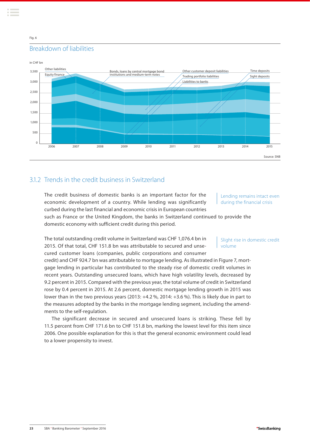## <span id="page-22-0"></span>Breakdown of liabilities Fig. 6



## 31.2. Trends in the credit business in Switzerland

The credit business of domestic banks is an important factor for the economic development of a country. While lending was significantly curbed during the last financial and economic crisis in European countries

#### Lending remains intact even during the financial crisis

such as France or the United Kingdom, the banks in Switzerland continued to provide the domestic economy with sufficient credit during this period.

The total outstanding credit volume in Switzerland was CHF 1,076.4 bn in 2015. Of that total, CHF 151.8 bn was attributable to secured and unsecured customer loans (companies, public corporations and consumer

credit) and CHF 924.7 bn was attributable to mortgage lending. As illustrated in Figure 7, mortgage lending in particular has contributed to the steady rise of domestic credit volumes in recent years. Outstanding unsecured loans, which have high volatility levels, decreased by 9.2 percent in 2015. Compared with the previous year, the total volume of credit in Switzerland rose by 0.4 percent in 2015. At 2.6 percent, domestic mortgage lending growth in 2015 was lower than in the two previous years (2013: +4.2 %, 2014: +3.6 %). This is likely due in part to the measures adopted by the banks in the mortgage lending segment, including the amendments to the self-regulation.

The significant decrease in secured and unsecured loans is striking. These fell by 11.5 percent from CHF 171.6 bn to CHF 151.8 bn, marking the lowest level for this item since 2006. One possible explanation for this is that the general economic environment could lead to a lower propensity to invest.

Slight rise in domestic credit volume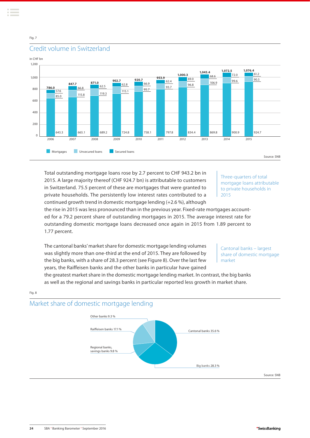



## Credit volume in Switzerland

Total outstanding mortgage loans rose by 2.7 percent to CHF 943.2 bn in 2015. A large majority thereof (CHF 924.7 bn) is attributable to customers in Switzerland. 75.5 percent of these are mortgages that were granted to private households. The persistently low interest rates contributed to a continued growth trend in domestic mortgage lending (+2.6 %), although

Three-quarters of total mortgage loans attributable to private households in 2015

the rise in 2015 was less pronounced than in the previous year. Fixed-rate mortgages accounted for a 79.2 percent share of outstanding mortgages in 2015. The average interest rate for outstanding domestic mortgage loans decreased once again in 2015 from 1.89 percent to 1.77 percent.

The cantonal banks' market share for domestic mortgage lending volumes was slightly more than one-third at the end of 2015. They are followed by the big banks, with a share of 28.3 percent (see Figure 8). Over the last few years, the Raiffeisen banks and the other banks in particular have gained

Cantonal banks – largest share of domestic mortgage market

the greatest market share in the domestic mortgage lending market. In contrast, the big banks as well as the regional and savings banks in particular reported less growth in market share.

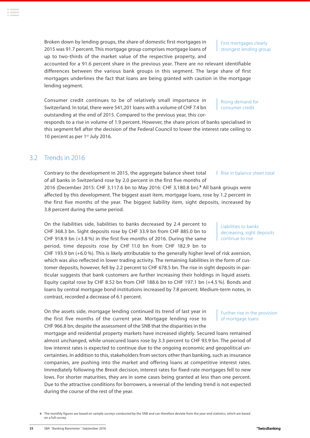**9** The monthly figures are based on sample surveys conducted by the SNB and can therefore deviate from the year-end statistics, which are based on a full survey.

<span id="page-24-0"></span>Broken down by lending groups, the share of domestic first mortgages in 2015 was 91.7 percent. This mortgage group comprises mortgage loans of up to two-thirds of the market value of the respective property, and

accounted for a 91.6 percent share in the previous year. There are no relevant identifiable differences between the various bank groups in this segment. The large share of first mortgages underlines the fact that loans are being granted with caution in the mortgage lending segment.

Consumer credit continues to be of relatively small importance in Switzerland. In total, there were 541,201 loans with a volume of CHF 7.4 bn outstanding at the end of 2015. Compared to the previous year, this cor-

responds to a rise in volume of 1.9 percent. However, the share prices of banks specialised in this segment fell after the decision of the Federal Council to lower the interest rate ceiling to 10 percent as per 1<sup>st</sup> July 2016.

## 3.2 Trends in 2016

Contrary to the development in 2015, the aggregate balance sheet total of all banks in Switzerland rose by 2.0 percent in the first five months of 2016 (December 2015: CHF 3,117.6 bn to May 2016: CHF 3,180.8 bn).**<sup>9</sup>** All bank groups were affected by this development. The biggest asset item, mortgage loans, rose by 1.2 percent in the first five months of the year. The biggest liability item, sight deposits, increased by | Rise in balance sheet total

3.8 percent during the same period.

On the liabilities side, liabilities to banks decreased by 2.4 percent to CHF 368.3 bn. Sight deposits rose by CHF 33.9 bn from CHF 885.0 bn to CHF 918.9 bn (+3.8 %) in the first five months of 2016. During the same period, time deposits rose by CHF 11.0 bn from CHF 182.9 bn to

CHF 193.9 bn (+6.0 %). This is likely attributable to the generally higher level of risk aversion, which was also reflected in lower trading activity. The remaining liabilities in the form of customer deposits, however, fell by 2.2 percent to CHF 678.5 bn. The rise in sight deposits in particular suggests that bank customers are further increasing their holdings in liquid assets. Equity capital rose by CHF 8.52 bn from CHF 188.6 bn to CHF 197.1 bn (+4.5 %). Bonds and loans by central mortgage bond institutions increased by 7.8 percent. Medium-term notes, in contrast, recorded a decrease of 6.1 percent.

On the assets side, mortgage lending continued its trend of last year in the first five months of the current year. Mortgage lending rose to CHF 966.8 bn; despite the assessment of the SNB that the disparities in the

mortgage and residential property markets have increased slightly. Secured loans remained almost unchanged, while unsecured loans rose by 3.3 percent to CHF 93.9 bn. The period of low interest rates is expected to continue due to the ongoing economic and geopolitical uncertainties. In addition to this, stakeholders from sectors other than banking, such as insurance companies, are pushing into the market and offering loans at competitive interest rates. Immediately following the Brexit decision, interest rates for fixed-rate mortgages fell to new lows. For shorter maturities, they are in some cases being granted at less than one percent. Due to the attractive conditions for borrowers, a reversal of the lending trend is not expected during the course of the rest of the year.

Liabilities to banks decreasing, sight deposits continue to rise

Further rise in the provision

of mortgage loans

Rising demand for consumer credit

strongest lending group

First mortgages clearly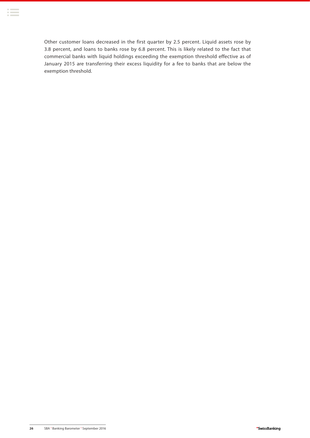Other customer loans decreased in the first quarter by 2.5 percent. Liquid assets rose by 3.8 percent, and loans to banks rose by 6.8 percent. This is likely related to the fact that commercial banks with liquid holdings exceeding the exemption threshold effective as of January 2015 are transferring their excess liquidity for a fee to banks that are below the exemption threshold.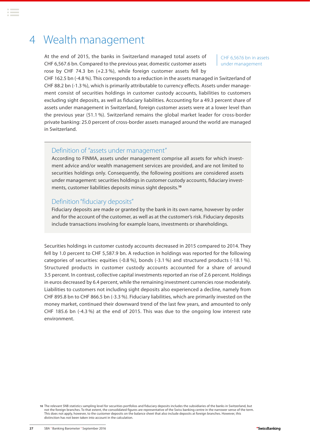## <span id="page-26-0"></span>4 Wealth management

At the end of 2015, the banks in Switzerland managed total assets of CHF 6,567.6 bn. Compared to the previous year, domestic customer assets rose by CHF 74.3 bn (+2.3 %), while foreign customer assets fell by

CHF 6,567.6 bn in assets under management

CHF 162.5 bn (-4.8 %). This corresponds to a reduction in the assets managed in Switzerland of CHF 88.2 bn (-1.3 %), which is primarily attributable to currency effects. Assets under management consist of securities holdings in customer custody accounts, liabilities to customers excluding sight deposits, as well as fiduciary liabilities. Accounting for a 49.3 percent share of assets under management in Switzerland, foreign customer assets were at a lower level than the previous year (51.1 %). Switzerland remains the global market leader for cross-border private banking: 25.0 percent of cross-border assets managed around the world are managed in Switzerland.

## Definition of "assets under management"

According to FINMA, assets under management comprise all assets for which investment advice and/or wealth management services are provided, and are not limited to securities holdings only. Consequently, the following positions are considered assets under management: securities holdings in customer custody accounts, fiduciary investments, customer liabilities deposits minus sight deposits.**<sup>10</sup>**

### Definition "fiduciary deposits"

Fiduciary deposits are made or granted by the bank in its own name, however by order and for the account of the customer, as well as at the customer's risk. Fiduciary deposits include transactions involving for example loans, investments or shareholdings.

Securities holdings in customer custody accounts decreased in 2015 compared to 2014. They fell by 1.0 percent to CHF 5,587.9 bn. A reduction in holdings was reported for the following categories of securities: equities (-0.8 %), bonds (-3.1 %) and structured products (-18.1 %). Structured products in customer custody accounts accounted for a share of around 3.5 percent. In contrast, collective capital investments reported an rise of 2.6 percent. Holdings in euros decreased by 6.4 percent, while the remaining investment currencies rose moderately. Liabilities to customers not including sight deposits also experienced a decline, namely from CHF 895.8 bn to CHF 866.5 bn (-3.3 %). Fiduciary liabilities, which are primarily invested on the money market, continued their downward trend of the last few years, and amounted to only CHF 185.6 bn (-4.3 %) at the end of 2015. This was due to the ongoing low interest rate environment.

**10** The relevant SNB statistics sampling level for securities portfolios and fiduciary deposits includes the subsidiaries of the banks in Switzerland, but not the foreign branches. To that extent, the consolidated figures are representative of the Swiss banking centre in the narrower sense of the term. This does not apply, however, to the customer deposits on the balance sheet that also include deposits at foreign branches. However, this distinction has not been taken into account in the calculation.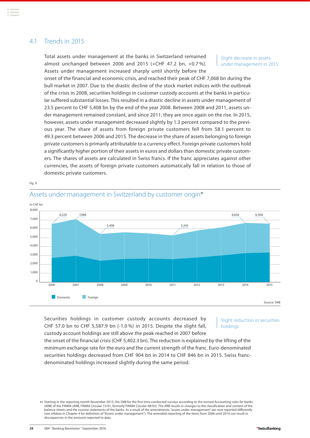## <span id="page-27-0"></span>4.1 Trends in 2015

Total assets under management at the banks in Switzerland remained almost unchanged between 2006 and 2015 (+CHF 47.2 bn, +0.7 %). Assets under management increased sharply until shortly before the

Slight decrease in assets under management in 2015

onset of the financial and economic crisis, and reached their peak of CHF 7,068 bn during the bull market in 2007. Due to the drastic decline of the stock market indices with the outbreak of the crisis in 2008, securities holdings in customer custody accounts at the banks in particular suffered substantial losses. This resulted in a drastic decline in assets under management of 23.5 percent to CHF 5,408 bn by the end of the year 2008. Between 2008 and 2011, assets under management remained constant, and since 2011, they are once again on the rise. In 2015, however, assets under management decreased slightly by 1.3 percent compared to the previous year. The share of assets from foreign private customers fell from 58.1 percent to 49.3 percent between 2006 and 2015. The decrease in the share of assets belonging to foreign private customers is primarily attributable to a currency effect. Foreign private customers hold a significantly higher portion of their assets in euros and dollars than domestic private customers. The shares of assets are calculated in Swiss francs. If the franc appreciates against other currencies, the assets of foreign private customers automatically fall in relation to those of domestic private customers.

Fig. 9



## Assets under management in Switzerland by customer origin<sup>11</sup>

Securities holdings in customer custody accounts decreased by CHF 57.0 bn to CHF 5,587.9 bn (-1.0 %) in 2015. Despite the slight fall, custody account holdings are still above the peak reached in 2007 before

#### Slight reduction in securities holdings

the onset of the financial crisis (CHF 5,402.3 bn). The reduction is explained by the lifting of the minimum exchange rate for the euro and the current strength of the franc. Euro-denominated securities holdings decreased from CHF 904 bn in 2014 to CHF 846 bn in 2015. Swiss francdenominated holdings increased slightly during the same period.

**<sup>11</sup>** Starting in the reporting month November 2015, the SNB for the first time conducted surveys according to the revised Accounting rules for banks (ARB) of the FINMA (ARB, FINMA Circular 15/01, formerly FINMA Circular 08/02). The ARB results in changes to the classification and content of the balance sheets and the income statements of the banks. As a result of the amendments, "assets under management" are now reported differently (see infobox in Chapter 4 for definition of "Assets under management"). The amended reporting of the items from 2006 until 2014 can result in discrepancies in the amounts reported to date.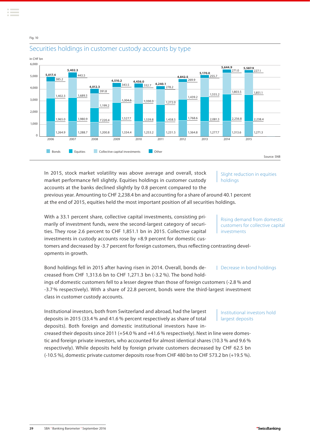Fig. 10



## Securities holdings in customer custody accounts by type

In 2015, stock market volatility was above average and overall, stock market performance fell slightly. Equities holdings in customer custody accounts at the banks declined slightly by 0.8 percent compared to the previous year. Amounting to CHF 2,238.4 bn and accounting for a share of around 40.1 percent at the end of 2015, equities held the most important position of all securities holdings. Slight reduction in equities holdings

With a 33.1 percent share, collective capital investments, consisting primarily of investment funds, were the second-largest category of securities. They rose 2.6 percent to CHF 1,851.1 bn in 2015. Collective capital investments in custody accounts rose by +8.9 percent for domestic cus-

tomers and decreased by -3.7 percent for foreign customers, thus reflecting contrasting developments in growth.

## Bond holdings fell in 2015 after having risen in 2014. Overall, bonds decreased from CHF 1,313.6 bn to CHF 1,271.3 bn (-3.2 %). The bond holdings of domestic customers fell to a lesser degree than those of foreign customers (-2.8 % and

-3.7 % respectively). With a share of 22.8 percent, bonds were the third-largest investment class in customer custody accounts.

Institutional investors, both from Switzerland and abroad, had the largest deposits in 2015 (33.4 % and 41.6 % percent respectively as share of total deposits). Both foreign and domestic institutional investors have increased their deposits since 2011 (+54.0 % and +41.6 % respectively). Next in line were domestic and foreign private investors, who accounted for almost identical shares (10.3 % and 9.6 % respectively). While deposits held by foreign private customers decreased by CHF 62.5 bn (-10.5 %), domestic private customer deposits rose from CHF 480 bn to CHF 573.2 bn (+19.5 %). Institutional investors hold largest deposits

Rising demand from domestic customers for collective capital investments

Decrease in bond holdings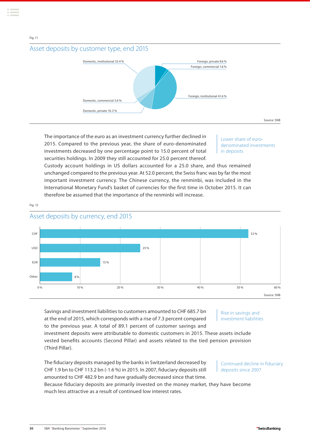



The importance of the euro as an investment currency further declined in 2015. Compared to the previous year, the share of euro-denominated investments decreased by one percentage point to 15.0 percent of total securities holdings. In 2009 they still accounted for 25.0 percent thereof.

Lower share of eurodenominated investments in deposits

Custody account holdings in US dollars accounted for a 25.0 share, and thus remained unchanged compared to the previous year. At 52.0 percent, the Swiss franc was by far the most important investment currency. The Chinese currency, the renminbi, was included in the International Monetary Fund's basket of currencies for the first time in October 2015. It can therefore be assumed that the importance of the renminbi will increase.



## Asset deposits by currency, end 2015

Fig. 12

Fig. 11

Savings and investment liabilities to customers amounted to CHF 685.7 bn at the end of 2015, which corresponds with a rise of 7.3 percent compared to the previous year. A total of 89.1 percent of customer savings and

Rise in savings and investment liabilities

investment deposits were attributable to domestic customers in 2015. These assets include vested benefits accounts (Second Pillar) and assets related to the tied pension provision (Third Pillar).

The fiduciary deposits managed by the banks in Switzerland decreased by CHF 1.9 bn to CHF 113.2 bn (-1.6 %) in 2015. In 2007, fiduciary deposits still amounted to CHF 482.9 bn and have gradually decreased since that time.

Because fiduciary deposits are primarily invested on the money market, they have become much less attractive as a result of continued low interest rates.

#### Continued decline in fiduciary deposits since 2007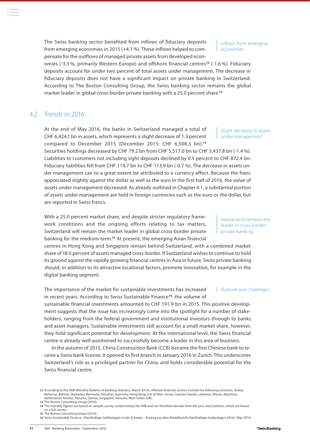<span id="page-30-0"></span>The Swiss banking sector benefited from inflows of fiduciary deposits from emerging economies in 2015 (+4.1 %). These inflows helped to compensate for the outflows of managed private assets from developed econ-

Inflows from emerging economies

omies (-3.3 %, primarily Western Europe) and offshore financial centres**<sup>12</sup>** (-1.6 %). Fiduciary deposits account for under two percent of total assets under management. The decrease in fiduciary deposits does not have a significant impact on private banking in Switzerland. According to The Boston Consulting Group, the Swiss banking sector remains the global market leader in global cross-border private banking with a 25.0 percent share.**<sup>13</sup>**

## 4.2 Trends in 2016

At the end of May 2016, the banks in Switzerland managed a total of CHF 6,424.1 bn in assets, which represents a slight decrease of 1.3 percent compared to December 2015 (December 2015: CHF 6,508.3 bn).**<sup>14</sup>**

Securities holdings decreased by CHF 79.2 bn from CHF 5,517.0 bn to CHF 5,437.8 bn (-1.4 %). Liabilities to customers not including sight deposits declined by 0.5 percent to CHF 872.4 bn. Fiduciary liabilities fell from CHF 114,7 bn to CHF 113.9 bn (-0.7 %). The decrease in assets under management can to a great extent be attributed to a currency effect. Because the franc appreciated slightly against the dollar as well as the euro in the first half of 2016, the value of assets under management decreased. As already outlined in Chapter 4.1, a substantial portion of assets under management are held in foreign currencies such as the euro or the dollar, but are reported in Swiss francs.

With a 25.0 percent market share, and despite stricter regulatory framework conditions and the ongoing efforts relating to tax matters, Switzerland will remain the market leader in global cross-border private banking for the medium-term.**<sup>15</sup>** At present, the emerging Asian financial

centres in Hong Kong and Singapore remain behind Switzerland, with a combined market share of 18.0 percent of assets managed cross-border. If Switzerland wishes to continue to hold its ground against the rapidly growing financial centres in Asia in future, Swiss private banking should, in addition to its attractive locational factors, promote innovation, for example in the digital banking segment.

The importance of the market for sustainable investments has increased in recent years. According to Swiss Sustainable Finance**<sup>16</sup>**, the volume of Outlook and challenges

sustainable financial investments amounted to CHF 191.9 bn in 2015. This positive development suggests that the issue has increasingly come into the spotlight for a number of stakeholders, ranging from the federal government and institutional investors through to banks and asset managers. Sustainable investments still account for a small market share, however, they hold significant potential for development. At the international level, the Swiss financial centre is already well-positioned to successfully become a leader in this area of business.

In the autumn of 2015, China Construction Bank (CCB) became the first Chinese bank to receive a Swiss bank license. It opened its first branch in January 2016 in Zurich. This underscores Switzerland's role as a privileged partner for China, and holds considerable potential for the Swiss financial centre.

**16** Swiss Sustainable Finance «Nachhaltige Geldanlagen in der Schweiz – Auszug aus dem Marktbericht Nachhaltige Geldanlagen 2016», May 2016.

Slight decrease in assets under management

Switzerland remains the leader in cross-border private banking

**<sup>12</sup>** According to the SNB (Monthly Bulletin of Banking Statistics, March 2014), offshore financial centres include the following countries: Aruba, Bahamas, Bahrain, Barbados, Bermuda, Gibraltar, Guernsey, Hong Kong, Isle of Man, Jersey, Cayman Islands, Lebanon, Macau, Mauritius, Netherlands Antilles, Panama, Samoa, Singapore, Vanuatu, West Indies (GB).

**<sup>13</sup>** The Boston Consulting Group (2016).

**<sup>14</sup>** The monthly figures are based on sample survey conducted by the SNB and can therefore deviate from the year-end statistics, which are based on a full survey. **15** The Boston Consulting Group (2016).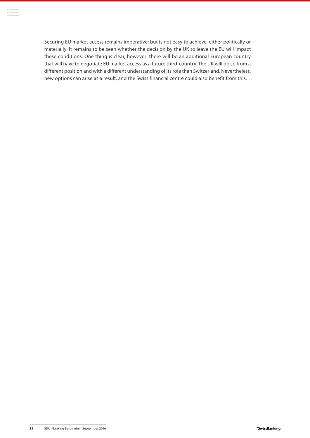Securing EU market access remains imperative; but is not easy to achieve, either politically or materially. It remains to be seen whether the decision by the UK to leave the EU will impact these conditions. One thing is clear, however: there will be an additional European country that will have to negotiate EU market access as a future third-country. The UK will do so from a different position and with a different understanding of its role than Switzerland. Nevertheless, new options can arise as a result, and the Swiss financial centre could also benefit from this.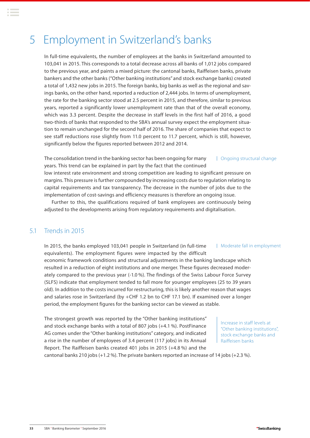## <span id="page-32-0"></span>5 Employment in Switzerland's banks

In full-time equivalents, the number of employees at the banks in Switzerland amounted to 103,041 in 2015. This corresponds to a total decrease across all banks of 1,012 jobs compared to the previous year, and paints a mixed picture: the cantonal banks, Raiffeisen banks, private bankers and the other banks ("Other banking institutions" and stock exchange banks) created a total of 1,432 new jobs in 2015. The foreign banks, big banks as well as the regional and savings banks, on the other hand, reported a reduction of 2,444 jobs. In terms of unemployment, the rate for the banking sector stood at 2.5 percent in 2015, and therefore, similar to previous years, reported a significantly lower unemployment rate than that of the overall economy, which was 3.3 percent. Despite the decrease in staff levels in the first half of 2016, a good two-thirds of banks that responded to the SBA's annual survey expect the employment situation to remain unchanged for the second half of 2016. The share of companies that expect to see staff reductions rose slightly from 11.0 percent to 11.7 percent, which is still, however, significantly below the figures reported between 2012 and 2014.

The consolidation trend in the banking sector has been ongoing for many years. This trend can be explained in part by the fact that the continued low interest rate environment and strong competition are leading to significant pressure on margins. This pressure is further compounded by increasing costs due to regulation relating to capital requirements and tax transparency. The decrease in the number of jobs due to the implementation of cost-savings and efficiency measures is therefore an ongoing issue. | Ongoing structural change

Further to this, the qualifications required of bank employees are continuously being adjusted to the developments arising from regulatory requirements and digitalisation.

## 5.1 Trends in 2015

In 2015, the banks employed 103,041 people in Switzerland (in full-time equivalents). The employment figures were impacted by the difficult economic framework conditions and structural adjustments in the banking landscape which resulted in a reduction of eight institutions and one merger. These figures decreased moderately compared to the previous year (-1.0 %). The findings of the Swiss Labour Force Survey (SLFS) indicate that employment tended to fall more for younger employees (25 to 39 years old). In addition to the costs incurred for restructuring, this is likely another reason that wages and salaries rose in Switzerland (by +CHF 1.2 bn to CHF 17.1 bn). If examined over a longer period, the employment figures for the banking sector can be viewed as stable. | Moderate fall in employment

The strongest growth was reported by the "Other banking institutions" and stock exchange banks with a total of 807 jobs (+4.1 %). PostFinance AG comes under the "Other banking institutions" category, and indicated a rise in the number of employees of 3.4 percent (117 jobs) in its Annual Report. The Raiffeisen banks created 401 jobs in 2015 (+4.8 %) and the

Increase in staff levels at "Other banking institutions", stock exchange banks and Raiffeisen banks

cantonal banks 210 jobs (+1.2 %). The private bankers reported an increase of 14 jobs (+2.3 %).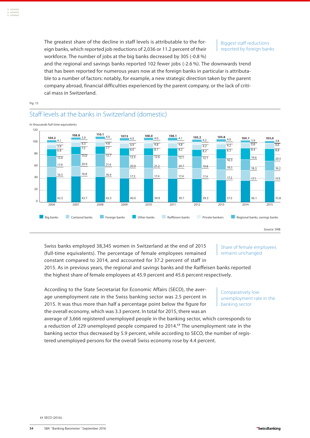The greatest share of the decline in staff levels is attributable to the foreign banks, which reported job reductions of 2,036 or 11.2 percent of their workforce. The number of jobs at the big banks decreased by 305 (-0.8 %)

Biggest staff reductions reported by foreign banks

and the regional and savings banks reported 102 fewer jobs (-2.6 %). The downwards trend that has been reported for numerous years now at the foreign banks in particular is attributable to a number of factors: notably, for example, a new strategic direction taken by the parent company abroad, financial difficulties experienced by the parent company, or the lack of critical mass in Switzerland.

Fig. 13

## Staff levels at the banks in Switzerland (domestic)



Swiss banks employed 38,345 women in Switzerland at the end of 2015 (full-time equivalents). The percentage of female employees remained constant compared to 2014, and accounted for 37.2 percent of staff in

Share of female employees remains unchanged

2015. As in previous years, the regional and savings banks and the Raiffeisen banks reported the highest share of female employees at 45.9 percent and 45.6 percent respectively.

According to the State Secretariat for Economic Affairs (SECO), the average unemployment rate in the Swiss banking sector was 2.5 percent in 2015. It was thus more than half a percentage point below the figure for the overall economy, which was 3.3 percent. In total for 2015, there was an

Comparatively low unemployment rate in the banking sector

average of 3,666 registered unemployed people in the banking sector, which corresponds to a reduction of 229 unemployed people compared to 2014.**<sup>17</sup>** The unemployment rate in the banking sector thus decreased by 5.9 percent, while according to SECO, the number of registered unemployed persons for the overall Swiss economy rose by 4.4 percent.

**17** SECO (2016).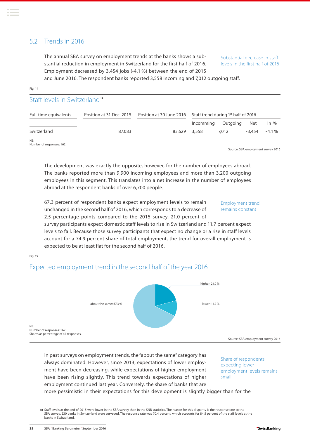## <span id="page-34-0"></span>5.2 Trends in 2016

The annual SBA survey on employment trends at the banks shows a substantial reduction in employment in Switzerland for the first half of 2016. Employment decreased by 3,454 jobs (-4.1 %) between the end of 2015

Substantial decrease in staff levels in the first half of 2016

and June 2016. The respondent banks reported 3,558 incoming and 7,012 outgoing staff.

#### Fig. 14

## Staff levels in Switzerland**<sup>18</sup>**

| Full-time equivalents           | Position at 31 Dec. 2015 | Position at 30 June 2016 | Staff trend during 1 <sup>st</sup> half of 2016 |          |          |                                    |
|---------------------------------|--------------------------|--------------------------|-------------------------------------------------|----------|----------|------------------------------------|
|                                 |                          |                          | Incomming                                       | Outgoing | Net      | $\ln \%$                           |
| Switzerland                     | 87,083                   | 83,629                   | 3,558                                           | 7,012    | $-3.454$ | $-4.1%$                            |
| NB:<br>Number of responses: 162 |                          |                          |                                                 |          |          | Source: SBA employment survey 2016 |

The development was exactly the opposite, however, for the number of employees abroad. The banks reported more than 9,900 incoming employees and more than 3,200 outgoing employees in this segment. This translates into a net increase in the number of employees abroad at the respondent banks of over 6,700 people.

67.3 percent of respondent banks expect employment levels to remain unchanged in the second half of 2016, which corresponds to a decrease of 2.5 percentage points compared to the 2015 survey. 21.0 percent of

#### Employment trend remains constant

survey participants expect domestic staff levels to rise in Switzerland and 11.7 percent expect levels to fall. Because those survey participants that expect no change or a rise in staff levels account for a 74.9 percent share of total employment, the trend for overall employment is expected to be at least flat for the second half of 2016.

Fig. 15

## Expected employment trend in the second half of the year 2016



In past surveys on employment trends, the "about the same" category has always dominated. However, since 2013, expectations of lower employment have been decreasing, while expectations of higher employment have been rising slightly. This trend towards expectations of higher employment continued last year. Conversely, the share of banks that are more pessimistic in their expectations for this development is slightly bigger than for the

Share of respondents expecting lower employment levels remains small

**18** Staff levels at the end of 2015 were lower in the SBA survey than in the SNB statistics. The reason for this disparity is the response rate to the SBA survey. 230 banks in Switzerland were surveyed. The response rate was 70.4 percent, which accounts for 84.5 percent of the staff levels at the

banks in Switzerland.

**<sup>35</sup>** SBA **.** Banking Barometer **.** September 2016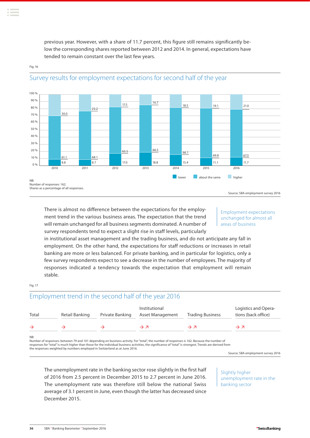previous year. However, with a share of 11.7 percent, this figure still remains significantly below the corresponding shares reported between 2012 and 2014. In general, expectations have tended to remain constant over the last few years.



#### Fig. 16

Survey results for employment expectations for second half of the year

#### Employment expectations unchanged for almost all areas of business

in institutional asset management and the trading business, and do not anticipate any fall in employment. On the other hand, the expectations for staff reductions or increases in retail banking are more or less balanced. For private banking, and in particular for logistics, only a few survey respondents expect to see a decrease in the number of employees. The majority of responses indicated a tendency towards the expectation that employment will remain stable.

#### Fig. 17

## Employment trend in the second half of the year 2016

| Total | Retail Banking | Private Banking | Institutional<br>Asset Management                                                                                                       | <b>Trading Business</b> | Logistics and Opera-<br>tions (back office) |  |
|-------|----------------|-----------------|-----------------------------------------------------------------------------------------------------------------------------------------|-------------------------|---------------------------------------------|--|
|       |                |                 | $\rightarrow$ $\pi$                                                                                                                     | $\rightarrow$ 7         | $\rightarrow$ 7                             |  |
| NB:   |                |                 | Number of responses: between 79 and 101 depending on business activity For "total" the number of responses is 162 Because the number of |                         |                                             |  |

Number of responses: between 79 and 101 depending on business activity. For "total", the number of responses is 162. Because the number of<br>responses for "total" is much higher than those for the individual business activit the responses weighted by numbers employed in Switzerland as at June 2016.

Source: SBA employment survey 2016

The unemployment rate in the banking sector rose slightly in the first half of 2016 from 2.5 percent in December 2015 to 2.7 percent in June 2016. The unemployment rate was therefore still below the national Swiss average of 3.1 percent in June, even though the latter has decreased since December 2015.

Slightly higher unemployment rate in the banking sector

There is almost no difference between the expectations for the employment trend in the various business areas. The expectation that the trend will remain unchanged for all business segments dominated. A number of survey respondents tend to expect a slight rise in staff levels, particularly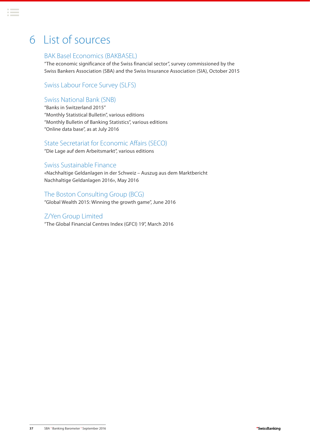## <span id="page-36-0"></span>6 List of sources

## BAK Basel Economics (BAKBASEL)

"The economic significance of the Swiss financial sector", survey commissioned by the Swiss Bankers Association (SBA) and the Swiss Insurance Association (SIA), October 2015

Swiss Labour Force Survey (SLFS)

## Swiss National Bank (SNB)

"Banks in Switzerland 2015" "Monthly Statistical Bulletin", various editions "Monthly Bulletin of Banking Statistics", various editions "Online data base", as at July 2016

## State Secretariat for Economic Affairs (SECO)

"Die Lage auf dem Arbeitsmarkt", various editions

### Swiss Sustainable Finance

«Nachhaltige Geldanlagen in der Schweiz – Auszug aus dem Marktbericht Nachhaltige Geldanlagen 2016», May 2016

## The Boston Consulting Group (BCG)

"Global Wealth 2015: Winning the growth game", June 2016

## Z/Yen Group Limited

"The Global Financial Centres Index (GFCI) 19", March 2016